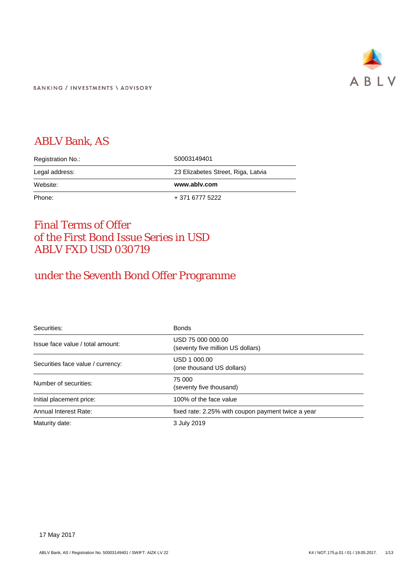

**BANKING / INVESTMENTS \ ADVISORY** 

# ABLV Bank, AS

| Registration No.: | 50003149401                        |
|-------------------|------------------------------------|
| Legal address:    | 23 Elizabetes Street, Riga, Latvia |
|                   |                                    |
| Website:          | www.ablv.com                       |

# Final Terms of Offer of the First Bond Issue Series in USD ABLV FXD USD 030719

# under the Seventh Bond Offer Programme

| Securities:                       | <b>Bonds</b>                                           |
|-----------------------------------|--------------------------------------------------------|
| Issue face value / total amount:  | USD 75 000 000.00<br>(seventy five million US dollars) |
| Securities face value / currency: | USD 1 000.00<br>(one thousand US dollars)              |
| Number of securities:             | 75 000<br>(seventy five thousand)                      |
| Initial placement price:          | 100% of the face value                                 |
| Annual Interest Rate:             | fixed rate: 2.25% with coupon payment twice a year     |
| Maturity date:                    | 3 July 2019                                            |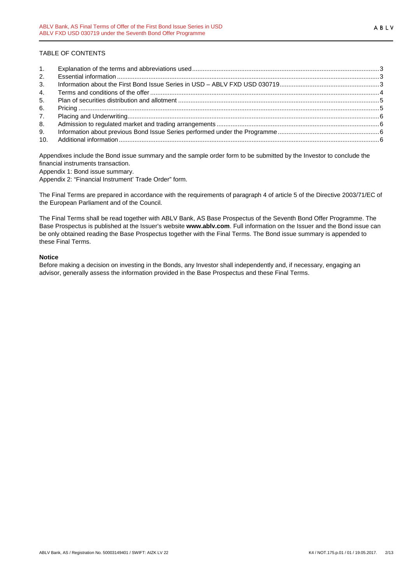## TABLE OF CONTENTS

| 2.  |  |
|-----|--|
| 3.  |  |
| 4.  |  |
| 5.  |  |
| 6.  |  |
| 7.  |  |
| 8.  |  |
| 9.  |  |
| 10. |  |

Appendixes include the Bond issue summary and the sample order form to be submitted by the Investor to conclude the financial instruments transaction.

Appendix 1: Bond issue summary.

Appendix 2: "Financial Instrument' Trade Order" form.

The Final Terms are prepared in accordance with the requirements of paragraph 4 of article 5 of the Directive 2003/71/EC of the European Parliament and of the Council.

The Final Terms shall be read together with ABLV Bank, AS Base Prospectus of the Seventh Bond Offer Programme. The Base Prospectus is published at the Issuer's website **www.ablv.com**. Full information on the Issuer and the Bond issue can be only obtained reading the Base Prospectus together with the Final Terms. The Bond issue summary is appended to these Final Terms.

#### **Notice**

Before making a decision on investing in the Bonds, any Investor shall independently and, if necessary, engaging an advisor, generally assess the information provided in the Base Prospectus and these Final Terms.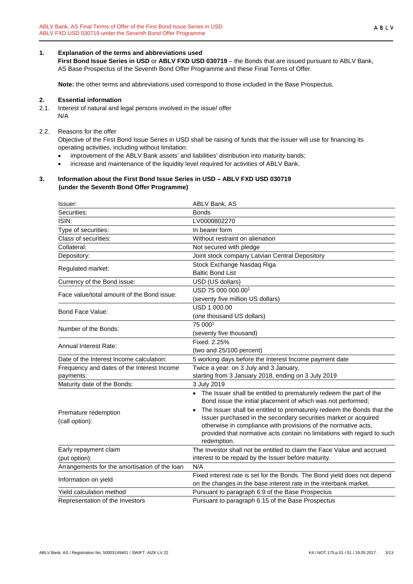# <span id="page-2-0"></span>**1. Explanation of the terms and abbreviations used**

**First Bond Issue Series in USD** or **ABLV FXD USD 030719** – the Bonds that are issued pursuant to ABLV Bank, AS Base Prospectus of the Seventh Bond Offer Programme and these Final Terms of Offer.

**Note:** the other terms and abbreviations used correspond to those included in the Base Prospectus.

# <span id="page-2-1"></span>**2. Essential information**

2.1. Interest of natural and legal persons involved in the issue/ offer N/A

# 2.2. Reasons for the offer

Objective of the First Bond Issue Series in USD shall be raising of funds that the Issuer will use for financing its operating activities, including without limitation:

- improvement of the ABLV Bank assets' and liabilities' distribution into maturity bands;
- increase and maintenance of the liquidity level required for activities of ABLV Bank.

## <span id="page-2-2"></span>**3. Information about the First Bond Issue Series in USD – ABLV FXD USD 030719 (under the Seventh Bond Offer Programme)**

| Issuer:                                       | ABLV Bank, AS                                                                                                                        |
|-----------------------------------------------|--------------------------------------------------------------------------------------------------------------------------------------|
| Securities:                                   | <b>Bonds</b>                                                                                                                         |
| ISIN:                                         | LV0000802270                                                                                                                         |
| Type of securities:                           | In bearer form                                                                                                                       |
| Class of securities:                          | Without restraint on alienation                                                                                                      |
| Collateral:                                   | Not secured with pledge                                                                                                              |
| Depository:                                   | Joint stock company Latvian Central Depository                                                                                       |
|                                               | Stock Exchange Nasdaq Riga                                                                                                           |
| Regulated market:                             | <b>Baltic Bond List</b>                                                                                                              |
| Currency of the Bond issue:                   | USD (US dollars)                                                                                                                     |
| Face value/total amount of the Bond issue:    | USD 75 000 000.00 <sup>1</sup>                                                                                                       |
|                                               | (seventy five million US dollars)                                                                                                    |
| Bond Face Value:                              | USD 1 000.00                                                                                                                         |
|                                               | (one thousand US dollars)                                                                                                            |
| Number of the Bonds:                          | 75 0001                                                                                                                              |
|                                               | (seventy five thousand)                                                                                                              |
|                                               | Fixed: 2.25%                                                                                                                         |
| Annual Interest Rate:                         | (two and 25/100 percent)                                                                                                             |
| Date of the Interest Income calculation:      | 5 working days before the Interest Income payment date                                                                               |
| Frequency and dates of the Interest Income    | Twice a year: on 3 July and 3 January,                                                                                               |
| payments:                                     | starting from 3 January 2018, ending on 3 July 2019                                                                                  |
| Maturity date of the Bonds:                   | 3 July 2019                                                                                                                          |
|                                               | • The Issuer shall be entitled to prematurely redeem the part of the<br>Bond issue the initial placement of which was not performed; |
| Premature redemption                          | The Issuer shall be entitled to prematurely redeem the Bonds that the<br>$\bullet$                                                   |
| (call option):                                | Issuer purchased in the secondary securities market or acquired                                                                      |
|                                               | otherwise in compliance with provisions of the normative acts,                                                                       |
|                                               | provided that normative acts contain no limitations with regard to such<br>redemption.                                               |
| Early repayment claim                         | The Investor shall not be entitled to claim the Face Value and accrued                                                               |
| (put option):                                 | interest to be repaid by the Issuer before maturity.                                                                                 |
| Arrangements for the amortisation of the loan | N/A                                                                                                                                  |
|                                               | Fixed interest rate is set for the Bonds. The Bond yield does not depend                                                             |
| Information on yield                          | on the changes in the base interest rate in the interbank market.                                                                    |
| Yield calculation method                      | Pursuant to paragraph 6.9 of the Base Prospectus                                                                                     |
| Representation of the Investors               | Pursuant to paragraph 6.15 of the Base Prospectus                                                                                    |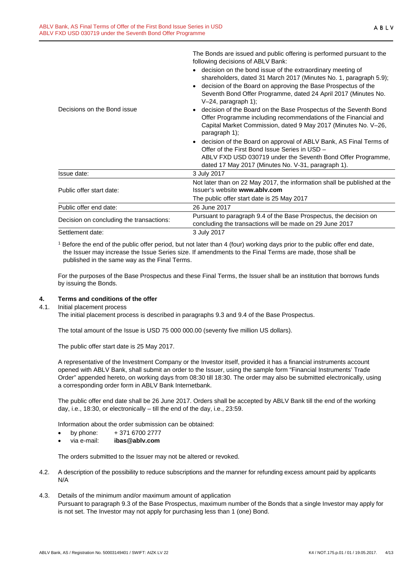|                                          | following decisions of ABLV Bank:                                                                                                                                                                                     |  |  |  |
|------------------------------------------|-----------------------------------------------------------------------------------------------------------------------------------------------------------------------------------------------------------------------|--|--|--|
|                                          | decision on the bond issue of the extraordinary meeting of                                                                                                                                                            |  |  |  |
|                                          | shareholders, dated 31 March 2017 (Minutes No. 1, paragraph 5.9);                                                                                                                                                     |  |  |  |
|                                          | decision of the Board on approving the Base Prospectus of the                                                                                                                                                         |  |  |  |
|                                          | Seventh Bond Offer Programme, dated 24 April 2017 (Minutes No.                                                                                                                                                        |  |  |  |
|                                          | $V-24$ , paragraph 1);                                                                                                                                                                                                |  |  |  |
| Decisions on the Bond issue              | decision of the Board on the Base Prospectus of the Seventh Bond<br>Offer Programme including recommendations of the Financial and<br>Capital Market Commission, dated 9 May 2017 (Minutes No. V-26,<br>paragraph 1); |  |  |  |
|                                          | decision of the Board on approval of ABLV Bank, AS Final Terms of<br>Offer of the First Bond Issue Series in USD -<br>ABLV FXD USD 030719 under the Seventh Bond Offer Programme,                                     |  |  |  |
|                                          | dated 17 May 2017 (Minutes No. V-31, paragraph 1).                                                                                                                                                                    |  |  |  |
| Issue date:                              | 3 July 2017                                                                                                                                                                                                           |  |  |  |
|                                          | Not later than on 22 May 2017, the information shall be published at the                                                                                                                                              |  |  |  |
| Public offer start date:                 | Issuer's website www.ably.com                                                                                                                                                                                         |  |  |  |
|                                          | The public offer start date is 25 May 2017                                                                                                                                                                            |  |  |  |
| Public offer end date:                   | 26 June 2017                                                                                                                                                                                                          |  |  |  |
|                                          | Pursuant to paragraph 9.4 of the Base Prospectus, the decision on                                                                                                                                                     |  |  |  |
| Decision on concluding the transactions: | concluding the transactions will be made on 29 June 2017                                                                                                                                                              |  |  |  |
| Settlement date:                         | 3 July 2017                                                                                                                                                                                                           |  |  |  |
|                                          |                                                                                                                                                                                                                       |  |  |  |

The Bonds are issued and public offering is performed pursuant to the

<sup>1</sup> Before the end of the public offer period, but not later than 4 (four) working days prior to the public offer end date, the Issuer may increase the Issue Series size. If amendments to the Final Terms are made, those shall be published in the same way as the Final Terms.

For the purposes of the Base Prospectus and these Final Terms, the Issuer shall be an institution that borrows funds by issuing the Bonds.

#### <span id="page-3-0"></span>**4. Terms and conditions of the offer**

4.1. Initial placement process

The initial placement process is described in paragraphs 9.3 and 9.4 of the Base Prospectus.

The total amount of the Issue is USD 75 000 000.00 (seventy five million US dollars).

The public offer start date is 25 May 2017.

A representative of the Investment Company or the Investor itself, provided it has a financial instruments account opened with ABLV Bank, shall submit an order to the Issuer, using the sample form "Financial Instruments' Trade Order" appended hereto, on working days from 08:30 till 18:30. The order may also be submitted electronically, using a corresponding order form in ABLV Bank Internetbank.

The public offer end date shall be 26 June 2017. Orders shall be accepted by ABLV Bank till the end of the working day, i.e., 18:30, or electronically – till the end of the day, i.e., 23:59.

Information about the order submission can be obtained:

- by phone:  $+37167002777$
- via e-mail: **ibas@ablv.com**

The orders submitted to the Issuer may not be altered or revoked.

- 4.2. A description of the possibility to reduce subscriptions and the manner for refunding excess amount paid by applicants N/A
- 4.3. Details of the minimum and/or maximum amount of application Pursuant to paragraph 9.3 of the Base Prospectus, maximum number of the Bonds that a single Investor may apply for is not set. The Investor may not apply for purchasing less than 1 (one) Bond.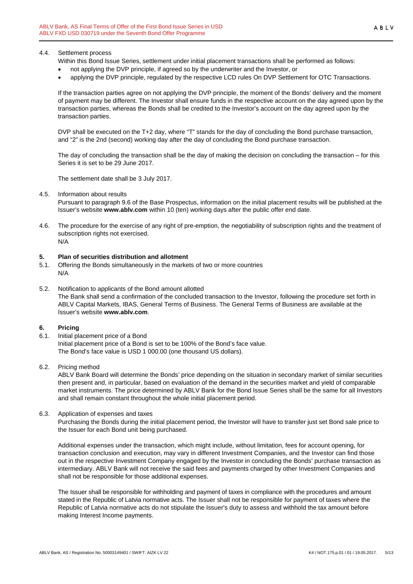Within this Bond Issue Series, settlement under initial placement transactions shall be performed as follows:

- not applying the DVP principle, if agreed so by the underwriter and the Investor, or
- applying the DVP principle, regulated by the respective LCD rules On DVP Settlement for OTC Transactions.

If the transaction parties agree on not applying the DVP principle, the moment of the Bonds' delivery and the moment of payment may be different. The Investor shall ensure funds in the respective account on the day agreed upon by the transaction parties, whereas the Bonds shall be credited to the Investor's account on the day agreed upon by the transaction parties.

DVP shall be executed on the T+2 day, where "T" stands for the day of concluding the Bond purchase transaction, and "2" is the 2nd (second) working day after the day of concluding the Bond purchase transaction.

The day of concluding the transaction shall be the day of making the decision on concluding the transaction – for this Series it is set to be 29 June 2017.

The settlement date shall be 3 July 2017.

4.5. Information about results

Pursuant to paragraph 9.6 of the Base Prospectus, information on the initial placement results will be published at the Issuer's website **www.ablv.com** within 10 (ten) working days after the public offer end date.

4.6. The procedure for the exercise of any right of pre-emption, the negotiability of subscription rights and the treatment of subscription rights not exercised. N/A

#### <span id="page-4-0"></span>**5. Plan of securities distribution and allotment**

- 5.1. Offering the Bonds simultaneously in the markets of two or more countries N/A
- 5.2. Notification to applicants of the Bond amount allotted The Bank shall send a confirmation of the concluded transaction to the Investor, following the procedure set forth in ABLV Capital Markets, IBAS, General Terms of Business. The General Terms of Business are available at the Issuer's website **[www.ablv.com](http://www.ablv.com/)**.

#### <span id="page-4-1"></span>**6. Pricing**

- 6.1. Initial placement price of a Bond Initial placement price of a Bond is set to be 100% of the Bond's face value. The Bond's face value is USD 1 000.00 (one thousand US dollars).
- 6.2. Pricing method

ABLV Bank Board will determine the Bonds' price depending on the situation in secondary market of similar securities then present and, in particular, based on evaluation of the demand in the securities market and yield of comparable market instruments. The price determined by ABLV Bank for the Bond Issue Series shall be the same for all Investors and shall remain constant throughout the whole initial placement period.

6.3. Application of expenses and taxes

Purchasing the Bonds during the initial placement period, the Investor will have to transfer just set Bond sale price to the Issuer for each Bond unit being purchased.

Additional expenses under the transaction, which might include, without limitation, fees for account opening, for transaction conclusion and execution, may vary in different Investment Companies, and the Investor can find those out in the respective Investment Company engaged by the Investor in concluding the Bonds' purchase transaction as intermediary. ABLV Bank will not receive the said fees and payments charged by other Investment Companies and shall not be responsible for those additional expenses.

The Issuer shall be responsible for withholding and payment of taxes in compliance with the procedures and amount stated in the Republic of Latvia normative acts. The Issuer shall not be responsible for payment of taxes where the Republic of Latvia normative acts do not stipulate the Issuer's duty to assess and withhold the tax amount before making Interest Income payments.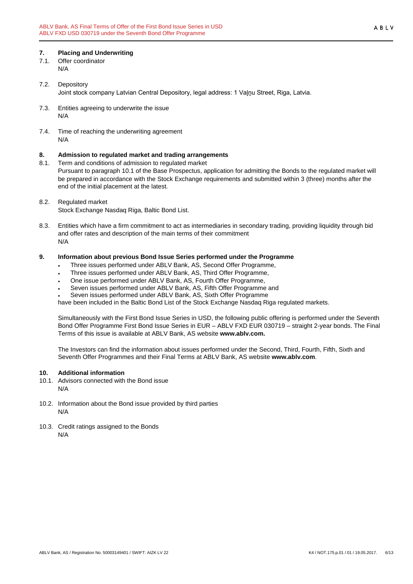## <span id="page-5-0"></span>**7. Placing and Underwriting**

- 7.1. Offer coordinator N/A
- 7.2. Depository Joint stock company Latvian Central Depository, legal address: 1 Vaļņu Street, Riga, Latvia.
- 7.3. Entities agreeing to underwrite the issue N/A
- 7.4. Time of reaching the underwriting agreement N/A

# <span id="page-5-1"></span>**8. Admission to regulated market and trading arrangements**

- Term and conditions of admission to regulated market Pursuant to paragraph 10.1 of the Base Prospectus, application for admitting the Bonds to the regulated market will be prepared in accordance with the Stock Exchange requirements and submitted within 3 (three) months after the end of the initial placement at the latest.
- 8.2. Regulated market Stock Exchange Nasdaq Riga, Baltic Bond List.
- 8.3. Entities which have a firm commitment to act as intermediaries in secondary trading, providing liquidity through bid and offer rates and description of the main terms of their commitment N/A

## <span id="page-5-2"></span>**9. Information about previous Bond Issue Series performed under the Programme**

- Three issues performed under ABLV Bank, AS, Second Offer Programme,
- Three issues performed under ABLV Bank, AS, Third Offer Programme,
- One issue performed under ABLV Bank, AS, Fourth Offer Programme,
- Seven issues performed under ABLV Bank, AS, Fifth Offer Programme and
- Seven issues performed under ABLV Bank, AS, Sixth Offer Programme

have been included in the Baltic Bond List of the Stock Exchange Nasdaq Riga regulated markets.

Simultaneously with the First Bond Issue Series in USD, the following public offering is performed under the Seventh Bond Offer Programme First Bond Issue Series in EUR – ABLV FXD EUR 030719 – straight 2-year bonds. The Final Terms of this issue is available at ABLV Bank, AS website **www.ablv.com.**

The Investors can find the information about issues performed under the Second, Third, Fourth, Fifth, Sixth and Seventh Offer Programmes and their Final Terms at ABLV Bank, AS website **[www.ablv.com](http://www.ablv.com/)**.

#### <span id="page-5-3"></span>**10. Additional information**

- 10.1. Advisors connected with the Bond issue N/A
- 10.2. Information about the Bond issue provided by third parties N/A
- 10.3. Credit ratings assigned to the Bonds N/A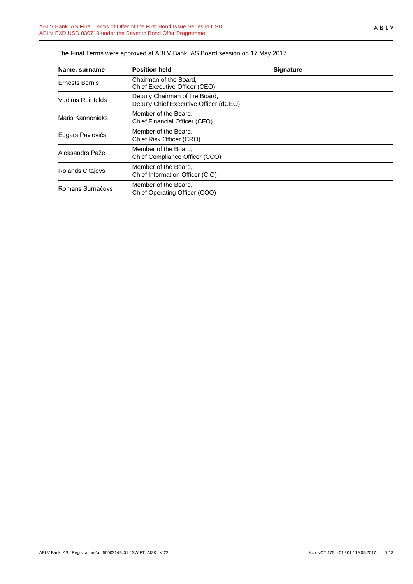| Name, surname           | <b>Position held</b>                                                   | <b>Signature</b> |
|-------------------------|------------------------------------------------------------------------|------------------|
| Ernests Bernis          | Chairman of the Board.<br>Chief Executive Officer (CEO)                |                  |
| Vadims Reinfelds        | Deputy Chairman of the Board,<br>Deputy Chief Executive Officer (dCEO) |                  |
| Māris Kannenieks        | Member of the Board.<br>Chief Financial Officer (CFO)                  |                  |
| Edgars Pavlovičs        | Member of the Board.<br>Chief Risk Officer (CRO)                       |                  |
| Aleksandrs Pāže         | Member of the Board.<br>Chief Compliance Officer (CCO)                 |                  |
| <b>Rolands Citajevs</b> | Member of the Board,<br>Chief Information Officer (CIO)                |                  |
| Romans Surnačovs        | Member of the Board,<br>Chief Operating Officer (COO)                  |                  |

The Final Terms were approved at ABLV Bank, AS Board session on 17 May 2017.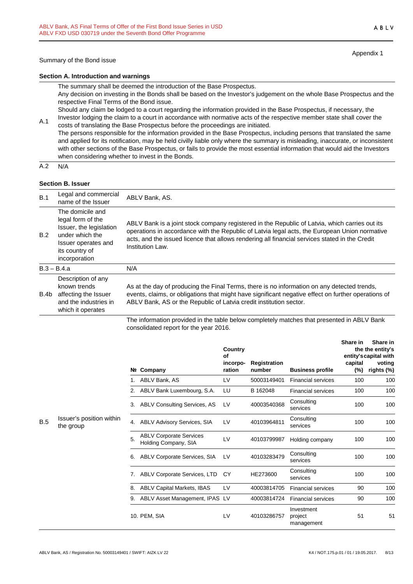Appendix 1

#### **Section A. Introduction and warnings**

The summary shall be deemed the introduction of the Base Prospectus.

Any decision on investing in the Bonds shall be based on the Investor's judgement on the whole Base Prospectus and the respective Final Terms of the Bond issue.

Should any claim be lodged to a court regarding the information provided in the Base Prospectus, if necessary, the Investor lodging the claim to a court in accordance with normative acts of the respective member state shall cover the

A.1 costs of translating the Base Prospectus before the proceedings are initiated. The persons responsible for the information provided in the Base Prospectus, including persons that translated the same and applied for its notification, may be held civilly liable only where the summary is misleading, inaccurate, or inconsistent with other sections of the Base Prospectus, or fails to provide the most essential information that would aid the Investors when considering whether to invest in the Bonds.

 $A.2 N/A$ 

#### **Section B. Issuer**

| B.1  | Legal and commercial<br>name of the Issuer                                                                                                    | ABLV Bank, AS.                                                                                                                                                                                                                                                                                                        |
|------|-----------------------------------------------------------------------------------------------------------------------------------------------|-----------------------------------------------------------------------------------------------------------------------------------------------------------------------------------------------------------------------------------------------------------------------------------------------------------------------|
| B.2  | The domicile and<br>legal form of the<br>Issuer, the legislation<br>under which the<br>Issuer operates and<br>its country of<br>incorporation | ABLV Bank is a joint stock company registered in the Republic of Latvia, which carries out its<br>operations in accordance with the Republic of Latvia legal acts, the European Union normative<br>acts, and the issued licence that allows rendering all financial services stated in the Credit<br>Institution Law. |
|      | $B.3 - B.4.a$                                                                                                                                 | N/A                                                                                                                                                                                                                                                                                                                   |
| B.4b | Description of any<br>known trends<br>affecting the Issuer<br>and the industries in<br>which it operates                                      | As at the day of producing the Final Terms, there is no information on any detected trends,<br>events, claims, or obligations that might have significant negative effect on further operations of<br>ABLV Bank, AS or the Republic of Latvia credit institution sector.                                              |
|      |                                                                                                                                               | The information provided in the table below completely matches that presented in ABLV Bank                                                                                                                                                                                                                            |

The information provided in the table below completely matches that presented in ABLV Bank consolidated report for the year 2016.

|     |                                       |    |                                                        | Country<br>Οf<br>incorpo- | Registration |                                     | Share in<br>capital | Share in<br>the the entity's<br>entity's capital with<br>voting |
|-----|---------------------------------------|----|--------------------------------------------------------|---------------------------|--------------|-------------------------------------|---------------------|-----------------------------------------------------------------|
|     |                                       |    | Nº Company                                             | ration                    | number       | <b>Business profile</b>             | $(\%)$              | rights (%)                                                      |
|     |                                       |    | ABLV Bank, AS                                          | LV                        | 50003149401  | <b>Financial services</b>           | 100                 | 100                                                             |
|     |                                       | 2. | ABLV Bank Luxembourg, S.A.                             | LU                        | B 162048     | <b>Financial services</b>           | 100                 | 100                                                             |
|     |                                       | 3. | <b>ABLV Consulting Services, AS</b>                    | LV                        | 40003540368  | Consulting<br>services              | 100                 | 100                                                             |
| B.5 | Issuer's position within<br>the group | 4. | <b>ABLV Advisory Services, SIA</b>                     | LV                        | 40103964811  | Consulting<br>services              | 100                 | 100                                                             |
|     |                                       | 5. | <b>ABLV Corporate Services</b><br>Holding Company, SIA | LV                        | 40103799987  | Holding company                     | 100                 | 100                                                             |
|     |                                       | 6. | ABLV Corporate Services, SIA                           | LV                        | 40103283479  | Consulting<br>services              | 100                 | 100                                                             |
|     |                                       | 7. | <b>ABLV Corporate Services, LTD</b>                    | CY                        | HE273600     | Consulting<br>services              | 100                 | 100                                                             |
|     |                                       | 8. | <b>ABLV Capital Markets, IBAS</b>                      | LV                        | 40003814705  | <b>Financial services</b>           | 90                  | 100                                                             |
|     |                                       | 9. | ABLV Asset Management, IPAS                            | LV                        | 40003814724  | <b>Financial services</b>           | 90                  | 100                                                             |
|     |                                       |    | 10. PEM, SIA                                           | LV                        | 40103286757  | Investment<br>project<br>management | 51                  | 51                                                              |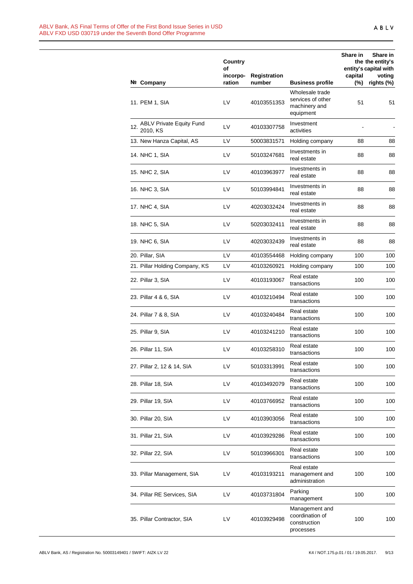|     |                                             | Country<br>οf<br>incorpo- | <b>Registration</b> |                                                                    | Share in<br>capital | Share in<br>the the entity's<br>entity's capital with<br>voting |
|-----|---------------------------------------------|---------------------------|---------------------|--------------------------------------------------------------------|---------------------|-----------------------------------------------------------------|
|     | Nº Company                                  | ration                    | number              | <b>Business profile</b>                                            | $(\%)$              | rights (%)                                                      |
|     | 11. PEM 1, SIA                              | LV                        | 40103551353         | Wholesale trade<br>services of other<br>machinery and<br>equipment | 51                  | 51                                                              |
| 12. | <b>ABLV Private Equity Fund</b><br>2010, KS | LV                        | 40103307758         | Investment<br>activities                                           |                     |                                                                 |
|     | 13. New Hanza Capital, AS                   | LV                        | 50003831571         | Holding company                                                    | 88                  | 88                                                              |
|     | 14. NHC 1, SIA                              | LV                        | 50103247681         | Investments in<br>real estate                                      | 88                  | 88                                                              |
|     | 15. NHC 2, SIA                              | LV                        | 40103963977         | Investments in<br>real estate                                      | 88                  | 88                                                              |
|     | 16. NHC 3, SIA                              | LV                        | 50103994841         | Investments in<br>real estate                                      | 88                  | 88                                                              |
|     | 17. NHC 4, SIA                              | LV                        | 40203032424         | Investments in<br>real estate                                      | 88                  | 88                                                              |
|     | 18. NHC 5, SIA                              | LV                        | 50203032411         | Investments in<br>real estate                                      | 88                  | 88                                                              |
|     | 19. NHC 6, SIA                              | LV                        | 40203032439         | Investments in<br>real estate                                      | 88                  | 88                                                              |
|     | 20. Pillar, SIA                             | LV                        | 40103554468         | Holding company                                                    | 100                 | 100                                                             |
|     | 21. Pillar Holding Company, KS              | LV                        | 40103260921         | Holding company                                                    | 100                 | 100                                                             |
|     | 22. Pillar 3, SIA                           | LV                        | 40103193067         | Real estate<br>transactions                                        | 100                 | 100                                                             |
|     | 23. Pillar 4 & 6, SIA                       | LV                        | 40103210494         | Real estate<br>transactions                                        | 100                 | 100                                                             |
|     | 24. Pillar 7 & 8, SIA                       | LV                        | 40103240484         | Real estate<br>transactions                                        | 100                 | 100                                                             |
|     | 25. Pillar 9, SIA                           | LV                        | 40103241210         | Real estate<br>transactions                                        | 100                 | 100                                                             |
|     | 26. Pillar 11, SIA                          | LV                        | 40103258310         | Real estate<br>transactions                                        | 100                 | 100                                                             |
|     | 27. Pillar 2, 12 & 14, SIA                  | LV                        | 50103313991         | Real estate<br>transactions                                        | 100                 | 100                                                             |
|     | 28. Pillar 18, SIA                          | LV                        | 40103492079         | Real estate<br>transactions                                        | 100                 | 100                                                             |
|     | 29. Pillar 19, SIA                          | LV                        | 40103766952         | Real estate<br>transactions                                        | 100                 | 100                                                             |
|     | 30. Pillar 20, SIA                          | LV                        | 40103903056         | Real estate<br>transactions                                        | 100                 | 100                                                             |
|     | 31. Pillar 21, SIA                          | LV                        | 40103929286         | Real estate<br>transactions                                        | 100                 | 100                                                             |
|     | 32. Pillar 22, SIA                          | LV                        | 50103966301         | Real estate<br>transactions                                        | 100                 | 100                                                             |
|     | 33. Pillar Management, SIA                  | LV                        | 40103193211         | Real estate<br>management and<br>administration                    | 100                 | 100                                                             |
|     | 34. Pillar RE Services, SIA                 | LV                        | 40103731804         | Parking<br>management                                              | 100                 | 100                                                             |
|     | 35. Pillar Contractor, SIA                  | LV                        | 40103929498         | Management and<br>coordination of<br>construction<br>processes     | 100                 | 100                                                             |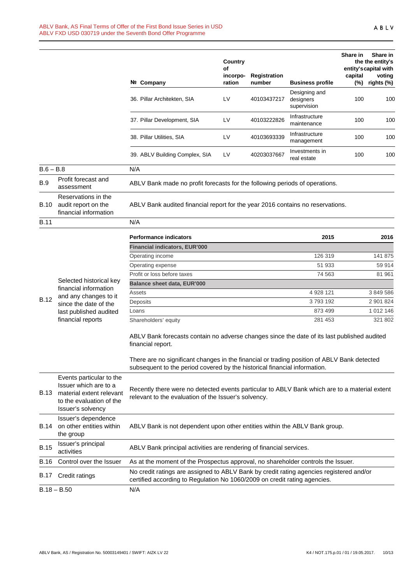|             |                                                                                                                                | Nº Company                                                                                                                                                               | Country<br>of<br>incorpo-<br>ration | <b>Registration</b><br>number | <b>Business profile</b>                   | Share in<br>capital<br>$(\%)$ | Share in<br>the the entity's<br>entity's capital with<br>voting<br>rights (%) |
|-------------|--------------------------------------------------------------------------------------------------------------------------------|--------------------------------------------------------------------------------------------------------------------------------------------------------------------------|-------------------------------------|-------------------------------|-------------------------------------------|-------------------------------|-------------------------------------------------------------------------------|
|             |                                                                                                                                | 36. Pillar Architekten, SIA                                                                                                                                              | LV                                  | 40103437217                   | Designing and<br>designers<br>supervision | 100                           | 100                                                                           |
|             |                                                                                                                                | 37. Pillar Development, SIA                                                                                                                                              | LV                                  | 40103222826                   | Infrastructure<br>maintenance             | 100                           | 100                                                                           |
|             |                                                                                                                                | 38. Pillar Utilities, SIA                                                                                                                                                | LV                                  | 40103693339                   | Infrastructure<br>management              | 100                           | 100                                                                           |
|             |                                                                                                                                | 39. ABLV Building Complex, SIA                                                                                                                                           | LV                                  | 40203037667                   | Investments in<br>real estate             | 100                           | 100                                                                           |
| $B.6 - B.8$ |                                                                                                                                | N/A                                                                                                                                                                      |                                     |                               |                                           |                               |                                                                               |
| B.9         | Profit forecast and<br>assessment                                                                                              | ABLV Bank made no profit forecasts for the following periods of operations.                                                                                              |                                     |                               |                                           |                               |                                                                               |
| <b>B.10</b> | Reservations in the<br>audit report on the<br>financial information                                                            | ABLV Bank audited financial report for the year 2016 contains no reservations.                                                                                           |                                     |                               |                                           |                               |                                                                               |
| <b>B.11</b> |                                                                                                                                | N/A                                                                                                                                                                      |                                     |                               |                                           |                               |                                                                               |
|             |                                                                                                                                | <b>Performance indicators</b>                                                                                                                                            |                                     |                               | 2015                                      |                               | 2016                                                                          |
|             |                                                                                                                                | <b>Financial indicators, EUR'000</b>                                                                                                                                     |                                     |                               |                                           |                               |                                                                               |
|             |                                                                                                                                | Operating income                                                                                                                                                         |                                     |                               | 126 319                                   |                               | 141 875                                                                       |
|             |                                                                                                                                | Operating expense                                                                                                                                                        |                                     |                               | 51 933                                    |                               | 59 914                                                                        |
|             |                                                                                                                                | Profit or loss before taxes                                                                                                                                              |                                     |                               | 74 563                                    |                               | 81 961                                                                        |
|             | Selected historical key                                                                                                        | Balance sheet data, EUR'000                                                                                                                                              |                                     |                               |                                           |                               |                                                                               |
|             | financial information<br>and any changes to it                                                                                 | Assets                                                                                                                                                                   |                                     |                               | 4 928 121                                 |                               | 3 849 586                                                                     |
| B.12        | since the date of the                                                                                                          | Deposits                                                                                                                                                                 |                                     |                               | 3793192                                   |                               | 2 901 824                                                                     |
|             | last published audited                                                                                                         | Loans                                                                                                                                                                    |                                     |                               | 873 499                                   |                               | 1 012 146                                                                     |
|             | financial reports                                                                                                              | Shareholders' equity                                                                                                                                                     |                                     |                               | 281 453                                   |                               | 321 802                                                                       |
|             |                                                                                                                                | ABLV Bank forecasts contain no adverse changes since the date of its last published audited<br>financial report.                                                         |                                     |                               |                                           |                               |                                                                               |
|             |                                                                                                                                | There are no significant changes in the financial or trading position of ABLV Bank detected<br>subsequent to the period covered by the historical financial information. |                                     |                               |                                           |                               |                                                                               |
| B.13        | Events particular to the<br>Issuer which are to a<br>material extent relevant<br>to the evaluation of the<br>Issuer's solvency | Recently there were no detected events particular to ABLV Bank which are to a material extent<br>relevant to the evaluation of the Issuer's solvency.                    |                                     |                               |                                           |                               |                                                                               |
| B.14        | Issuer's dependence<br>on other entities within<br>the group                                                                   | ABLV Bank is not dependent upon other entities within the ABLV Bank group.                                                                                               |                                     |                               |                                           |                               |                                                                               |
| <b>B.15</b> | Issuer's principal<br>activities                                                                                               | ABLV Bank principal activities are rendering of financial services.                                                                                                      |                                     |                               |                                           |                               |                                                                               |
| B.16        | Control over the Issuer                                                                                                        | As at the moment of the Prospectus approval, no shareholder controls the Issuer.                                                                                         |                                     |                               |                                           |                               |                                                                               |
| B.17        | Credit ratings                                                                                                                 | No credit ratings are assigned to ABLV Bank by credit rating agencies registered and/or<br>certified according to Regulation No 1060/2009 on credit rating agencies.     |                                     |                               |                                           |                               |                                                                               |
|             | $B.18 - B.50$                                                                                                                  | N/A                                                                                                                                                                      |                                     |                               |                                           |                               |                                                                               |
|             |                                                                                                                                |                                                                                                                                                                          |                                     |                               |                                           |                               |                                                                               |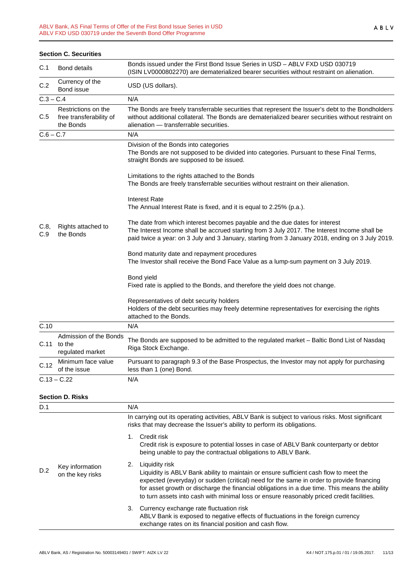|             | <b>Section C. Securities</b>                                |                                                                                                                                                                                                                                                                                 |
|-------------|-------------------------------------------------------------|---------------------------------------------------------------------------------------------------------------------------------------------------------------------------------------------------------------------------------------------------------------------------------|
| C.1         | <b>Bond details</b>                                         | Bonds issued under the First Bond Issue Series in USD - ABLV FXD USD 030719<br>(ISIN LV0000802270) are dematerialized bearer securities without restraint on alienation.                                                                                                        |
| C.2         | Currency of the<br>Bond issue                               | USD (US dollars).                                                                                                                                                                                                                                                               |
| $C.3 - C.4$ |                                                             | N/A                                                                                                                                                                                                                                                                             |
| C.5         | Restrictions on the<br>free transferability of<br>the Bonds | The Bonds are freely transferrable securities that represent the Issuer's debt to the Bondholders<br>without additional collateral. The Bonds are dematerialized bearer securities without restraint on<br>alienation - transferrable securities.                               |
| $C.6 - C.7$ |                                                             | N/A                                                                                                                                                                                                                                                                             |
|             |                                                             | Division of the Bonds into categories<br>The Bonds are not supposed to be divided into categories. Pursuant to these Final Terms,<br>straight Bonds are supposed to be issued.                                                                                                  |
|             |                                                             | Limitations to the rights attached to the Bonds<br>The Bonds are freely transferrable securities without restraint on their alienation.                                                                                                                                         |
|             |                                                             | <b>Interest Rate</b><br>The Annual Interest Rate is fixed, and it is equal to 2.25% (p.a.).                                                                                                                                                                                     |
| C.8,<br>C.9 | Rights attached to<br>the Bonds                             | The date from which interest becomes payable and the due dates for interest<br>The Interest Income shall be accrued starting from 3 July 2017. The Interest Income shall be<br>paid twice a year: on 3 July and 3 January, starting from 3 January 2018, ending on 3 July 2019. |
|             |                                                             | Bond maturity date and repayment procedures<br>The Investor shall receive the Bond Face Value as a lump-sum payment on 3 July 2019.                                                                                                                                             |
|             |                                                             | Bond yield<br>Fixed rate is applied to the Bonds, and therefore the yield does not change.                                                                                                                                                                                      |
|             |                                                             | Representatives of debt security holders<br>Holders of the debt securities may freely determine representatives for exercising the rights<br>attached to the Bonds.                                                                                                             |
| C.10        |                                                             | N/A                                                                                                                                                                                                                                                                             |
| C.11        | Admission of the Bonds<br>to the<br>regulated market        | The Bonds are supposed to be admitted to the regulated market – Baltic Bond List of Nasdaq<br>Riga Stock Exchange.                                                                                                                                                              |
| C.12        | Minimum face value<br>of the issue                          | Pursuant to paragraph 9.3 of the Base Prospectus, the Investor may not apply for purchasing<br>less than 1 (one) Bond.                                                                                                                                                          |
|             | $C.13 - C.22$                                               | N/A                                                                                                                                                                                                                                                                             |

#### **Section D. Risks**

| D.1 |                                     | N/A                                                                                                                                                                                                                                                                                                                                                                                                     |
|-----|-------------------------------------|---------------------------------------------------------------------------------------------------------------------------------------------------------------------------------------------------------------------------------------------------------------------------------------------------------------------------------------------------------------------------------------------------------|
|     |                                     | In carrying out its operating activities, ABLV Bank is subject to various risks. Most significant<br>risks that may decrease the Issuer's ability to perform its obligations.                                                                                                                                                                                                                           |
|     |                                     | Credit risk<br>1.<br>Credit risk is exposure to potential losses in case of ABLV Bank counterparty or debtor<br>being unable to pay the contractual obligations to ABLV Bank.                                                                                                                                                                                                                           |
| D.2 | Key information<br>on the key risks | Liquidity risk<br>2.<br>Liquidity is ABLV Bank ability to maintain or ensure sufficient cash flow to meet the<br>expected (everyday) or sudden (critical) need for the same in order to provide financing<br>for asset growth or discharge the financial obligations in a due time. This means the ability<br>to turn assets into cash with minimal loss or ensure reasonably priced credit facilities. |
|     |                                     | 3. Currency exchange rate fluctuation risk<br>ABLV Bank is exposed to negative effects of fluctuations in the foreign currency<br>exchange rates on its financial position and cash flow.                                                                                                                                                                                                               |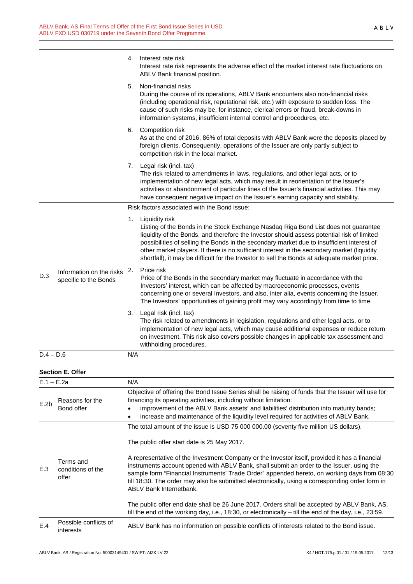|              |                                                   |     | 4. Interest rate risk<br>Interest rate risk represents the adverse effect of the market interest rate fluctuations on<br>ABLV Bank financial position.                                                                                                                                                                                                                                                                                                                                              |
|--------------|---------------------------------------------------|-----|-----------------------------------------------------------------------------------------------------------------------------------------------------------------------------------------------------------------------------------------------------------------------------------------------------------------------------------------------------------------------------------------------------------------------------------------------------------------------------------------------------|
|              |                                                   | 5.  | Non-financial risks<br>During the course of its operations, ABLV Bank encounters also non-financial risks<br>(including operational risk, reputational risk, etc.) with exposure to sudden loss. The<br>cause of such risks may be, for instance, clerical errors or fraud, break-downs in<br>information systems, insufficient internal control and procedures, etc.                                                                                                                               |
|              |                                                   |     | 6. Competition risk<br>As at the end of 2016, 86% of total deposits with ABLV Bank were the deposits placed by<br>foreign clients. Consequently, operations of the Issuer are only partly subject to<br>competition risk in the local market.                                                                                                                                                                                                                                                       |
|              |                                                   | 7.  | Legal risk (incl. tax)<br>The risk related to amendments in laws, regulations, and other legal acts, or to<br>implementation of new legal acts, which may result in reorientation of the Issuer's<br>activities or abandonment of particular lines of the Issuer's financial activities. This may<br>have consequent negative impact on the Issuer's earning capacity and stability.                                                                                                                |
|              |                                                   |     | Risk factors associated with the Bond issue:                                                                                                                                                                                                                                                                                                                                                                                                                                                        |
|              |                                                   |     | 1. Liquidity risk<br>Listing of the Bonds in the Stock Exchange Nasdaq Riga Bond List does not guarantee<br>liquidity of the Bonds, and therefore the Investor should assess potential risk of limited<br>possibilities of selling the Bonds in the secondary market due to insufficient interest of<br>other market players. If there is no sufficient interest in the secondary market (liquidity<br>shortfall), it may be difficult for the Investor to sell the Bonds at adequate market price. |
| D.3          | Information on the risks<br>specific to the Bonds | 2.  | Price risk<br>Price of the Bonds in the secondary market may fluctuate in accordance with the<br>Investors' interest, which can be affected by macroeconomic processes, events<br>concerning one or several Investors, and also, inter alia, events concerning the Issuer.<br>The Investors' opportunities of gaining profit may vary accordingly from time to time.                                                                                                                                |
|              |                                                   |     | 3. Legal risk (incl. tax)<br>The risk related to amendments in legislation, regulations and other legal acts, or to<br>implementation of new legal acts, which may cause additional expenses or reduce return<br>on investment. This risk also covers possible changes in applicable tax assessment and<br>withholding procedures.                                                                                                                                                                  |
| $D.4 - D.6$  |                                                   | N/A |                                                                                                                                                                                                                                                                                                                                                                                                                                                                                                     |
|              | <b>Section E. Offer</b>                           |     |                                                                                                                                                                                                                                                                                                                                                                                                                                                                                                     |
| $E.1 - E.2a$ |                                                   | N/A |                                                                                                                                                                                                                                                                                                                                                                                                                                                                                                     |
| E.2b         | Reasons for the<br>Bond offer                     |     | Objective of offering the Bond Issue Series shall be raising of funds that the Issuer will use for<br>financing its operating activities, including without limitation:<br>improvement of the ABLV Bank assets' and liabilities' distribution into maturity bands;<br>increase and maintenance of the liquidity level required for activities of ABLV Bank.                                                                                                                                         |
|              |                                                   |     | The total amount of the issue is USD 75 000 000.00 (seventy five million US dollars).                                                                                                                                                                                                                                                                                                                                                                                                               |
|              |                                                   |     | The public offer start date is 25 May 2017.                                                                                                                                                                                                                                                                                                                                                                                                                                                         |
| E.3          | Terms and<br>conditions of the<br>offer           |     | A representative of the Investment Company or the Investor itself, provided it has a financial<br>instruments account opened with ABLV Bank, shall submit an order to the Issuer, using the<br>sample form "Financial Instruments' Trade Order" appended hereto, on working days from 08:30<br>till 18:30. The order may also be submitted electronically, using a corresponding order form in<br><b>ABLV Bank Internetbank.</b>                                                                    |
|              |                                                   |     | The public offer end date shall be 26 June 2017. Orders shall be accepted by ABLV Bank, AS,<br>till the end of the working day, i.e., 18:30, or electronically - till the end of the day, i.e., 23:59.                                                                                                                                                                                                                                                                                              |
| E.4          | Possible conflicts of<br>interests                |     | ABLV Bank has no information on possible conflicts of interests related to the Bond issue.                                                                                                                                                                                                                                                                                                                                                                                                          |